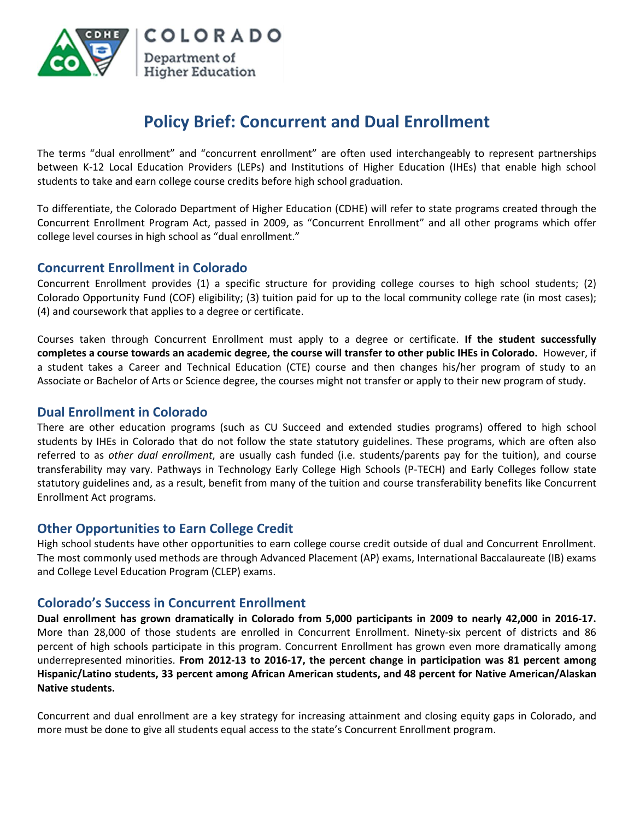

# **Policy Brief: Concurrent and Dual Enrollment**

The terms "dual enrollment" and "concurrent enrollment" are often used interchangeably to represent partnerships between K-12 Local Education Providers (LEPs) and Institutions of Higher Education (IHEs) that enable high school students to take and earn college course credits before high school graduation.

To differentiate, the Colorado Department of Higher Education (CDHE) will refer to state programs created through the Concurrent Enrollment Program Act, passed in 2009, as "Concurrent Enrollment" and all other programs which offer college level courses in high school as "dual enrollment."

# **Concurrent Enrollment in Colorado**

Concurrent Enrollment provides (1) a specific structure for providing college courses to high school students; (2) Colorado Opportunity Fund (COF) eligibility; (3) tuition paid for up to the local community college rate (in most cases); (4) and coursework that applies to a degree or certificate.

Courses taken through Concurrent Enrollment must apply to a degree or certificate. **If the student successfully completes a course towards an academic degree, the course will transfer to other public IHEs in Colorado.** However, if a student takes a Career and Technical Education (CTE) course and then changes his/her program of study to an Associate or Bachelor of Arts or Science degree, the courses might not transfer or apply to their new program of study.

# **Dual Enrollment in Colorado**

There are other education programs (such as CU Succeed and extended studies programs) offered to high school students by IHEs in Colorado that do not follow the state statutory guidelines. These programs, which are often also referred to as *other dual enrollment*, are usually cash funded (i.e. students/parents pay for the tuition), and course transferability may vary. Pathways in Technology Early College High Schools (P-TECH) and Early Colleges follow state statutory guidelines and, as a result, benefit from many of the tuition and course transferability benefits like Concurrent Enrollment Act programs.

# **Other Opportunities to Earn College Credit**

High school students have other opportunities to earn college course credit outside of dual and Concurrent Enrollment. The most commonly used methods are through Advanced Placement (AP) exams, International Baccalaureate (IB) exams and College Level Education Program (CLEP) exams.

# **Colorado's Success in Concurrent Enrollment**

**Dual enrollment has grown dramatically in Colorado from 5,000 participants in 2009 to nearly 42,000 in 2016-17.** More than 28,000 of those students are enrolled in Concurrent Enrollment. Ninety-six percent of districts and 86 percent of high schools participate in this program. Concurrent Enrollment has grown even more dramatically among underrepresented minorities. **From 2012-13 to 2016-17, the percent change in participation was 81 percent among Hispanic/Latino students, 33 percent among African American students, and 48 percent for Native American/Alaskan Native students.**

Concurrent and dual enrollment are a key strategy for increasing attainment and closing equity gaps in Colorado, and more must be done to give all students equal access to the state's Concurrent Enrollment program.